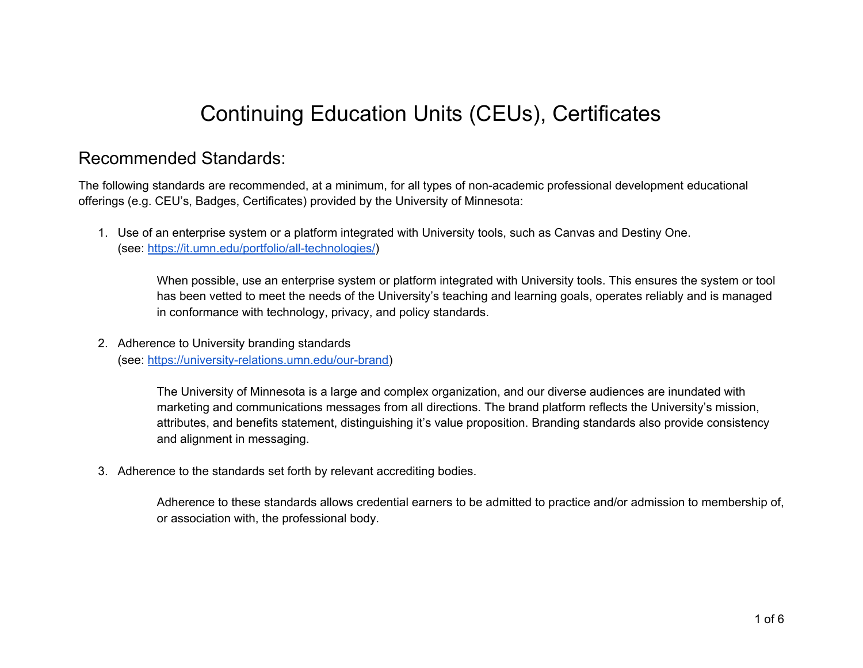# Continuing Education Units (CEUs), Certificates

### Recommended Standards:

The following standards are recommended, at a minimum, for all types of non-academic professional development educational offerings (e.g. CEU's, Badges, Certificates) provided by the University of Minnesota:

1. Use of an enterprise system or a platform integrated with University tools, such as Canvas and Destiny One. (see: <https://it.umn.edu/portfolio/all-technologies/>)

When possible, use an enterprise system or platform integrated with University tools. This ensures the system or tool has been vetted to meet the needs of the University's teaching and learning goals, operates reliably and is managed in conformance with technology, privacy, and policy standards.

2. Adherence to University branding standards (see: [https://university-relations.umn.edu/our-brand\)](https://university-relations.umn.edu/our-brand)

> The University of Minnesota is a large and complex organization, and our diverse audiences are inundated with marketing and communications messages from all directions. The brand platform reflects the University's mission, attributes, and benefits statement, distinguishing it's value proposition. Branding standards also provide consistency and alignment in messaging.

3. Adherence to the standards set forth by relevant accrediting bodies.

Adherence to these standards allows credential earners to be admitted to practice and/or admission to membership of, or association with, the professional body.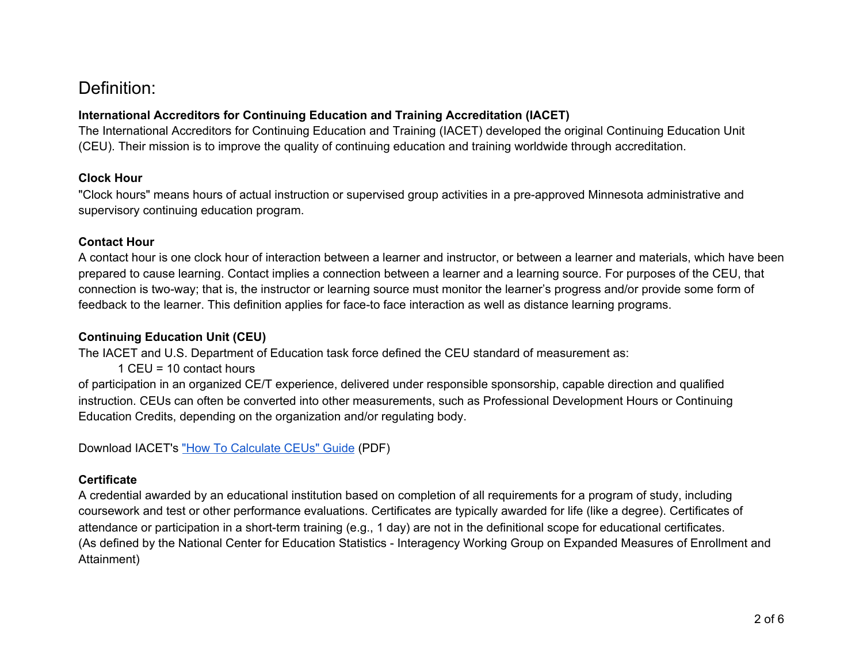# Definition:

#### **International Accreditors for Continuing Education and Training Accreditation (IACET)**

The International Accreditors for Continuing Education and Training (IACET) developed the original Continuing Education Unit (CEU). Their mission is to improve the quality of continuing education and training worldwide through accreditation.

#### **Clock Hour**

"Clock hours" means hours of actual instruction or supervised group activities in a pre-approved Minnesota administrative and supervisory continuing education program.

#### **Contact Hour**

A contact hour is one clock hour of interaction between a learner and instructor, or between a learner and materials, which have been prepared to cause learning. Contact implies a connection between a learner and a learning source. For purposes of the CEU, that connection is two-way; that is, the instructor or learning source must monitor the learner's progress and/or provide some form of feedback to the learner. This definition applies for face-to face interaction as well as distance learning programs.

#### **Continuing Education Unit (CEU)**

The IACET and U.S. Department of Education task force defined the CEU standard of measurement as:

1 CEU = 10 contact hours

of participation in an organized CE/T experience, delivered under responsible sponsorship, capable direction and qualified instruction. CEUs can often be converted into other measurements, such as Professional Development Hours or Continuing Education Credits, depending on the organization and/or regulating body.

Download IACET's "How To [Calculate](https://drive.google.com/file/d/1rhVexZ81ChE8KgSMFXKciDccM-THi6aI/view?usp=sharing) CEUs" Guide (PDF)

#### **Certificate**

A credential awarded by an educational institution based on completion of all requirements for a program of study, including coursework and test or other performance evaluations. Certificates are typically awarded for life (like a degree). Certificates of attendance or participation in a short-term training (e.g., 1 day) are not in the definitional scope for educational certificates. (As defined by the National Center for Education Statistics - Interagency Working Group on Expanded Measures of Enrollment and Attainment)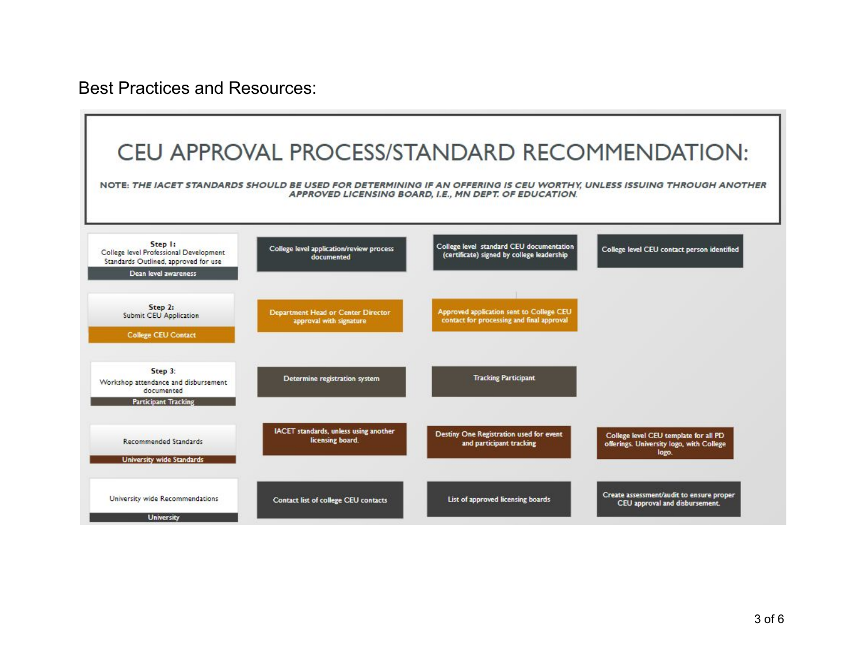Best Practices and Resources:

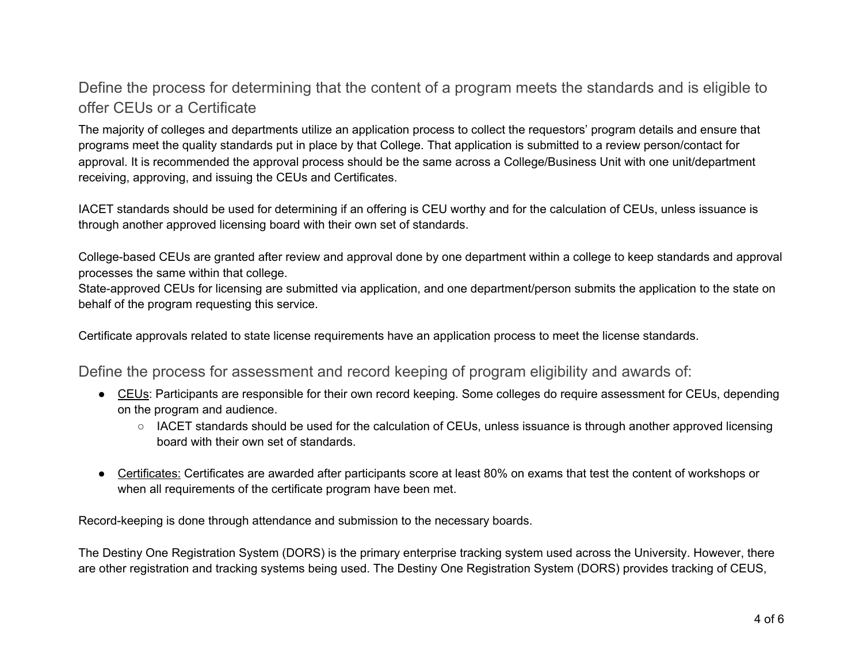### Define the process for determining that the content of a program meets the standards and is eligible to offer CEUs or a Certificate

The majority of colleges and departments utilize an application process to collect the requestors' program details and ensure that programs meet the quality standards put in place by that College. That application is submitted to a review person/contact for approval. It is recommended the approval process should be the same across a College/Business Unit with one unit/department receiving, approving, and issuing the CEUs and Certificates.

IACET standards should be used for determining if an offering is CEU worthy and for the calculation of CEUs, unless issuance is through another approved licensing board with their own set of standards.

College-based CEUs are granted after review and approval done by one department within a college to keep standards and approval processes the same within that college.

State-approved CEUs for licensing are submitted via application, and one department/person submits the application to the state on behalf of the program requesting this service.

Certificate approvals related to state license requirements have an application process to meet the license standards.

Define the process for assessment and record keeping of program eligibility and awards of:

- CEUs: Participants are responsible for their own record keeping. Some colleges do require assessment for CEUs, depending on the program and audience.
	- *○* IACET standards should be used for the calculation of CEUs, unless issuance is through another approved licensing board with their own set of standards.
- Certificates: Certificates are awarded after participants score at least 80% on exams that test the content of workshops or when all requirements of the certificate program have been met.

Record-keeping is done through attendance and submission to the necessary boards.

The Destiny One Registration System (DORS) is the primary enterprise tracking system used across the University. However, there are other registration and tracking systems being used. The Destiny One Registration System (DORS) provides tracking of CEUS,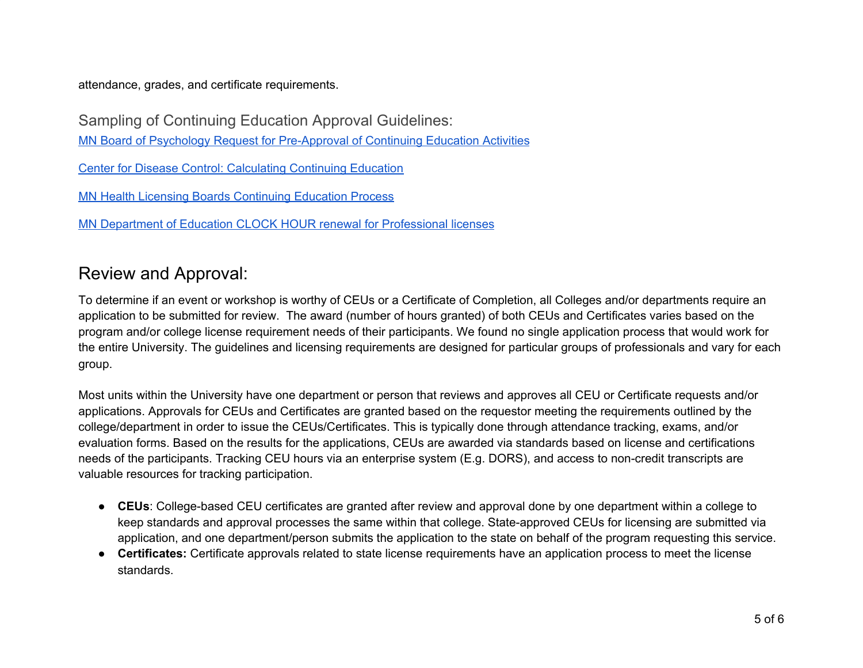attendance, grades, and certificate requirements.

Sampling of Continuing Education Approval Guidelines:

MN Board of Psychology Request for [Pre-Approval](https://drive.google.com/file/d/16Xs1LmaW-WQkoL6DuCpNDykGXzcub8H-/view?usp=sharing) of Continuing Education Activities

Center for Disease Control: [Calculating](https://drive.google.com/file/d/1eYb3COWm7zPa-DK_Nmug-412fUCjepOz/view?usp=sharing) Continuing Education

MN Health Licensing Boards [Continuing](https://drive.google.com/file/d/1GwBz_osWbBD2sQ2IoybUFpA_Oovsp_mZ/view?usp=sharing) Education Process

MN Department of Education CLOCK HOUR renewal for [Professional](https://drive.google.com/file/d/16au5qI5BKVxiapIXHA4cg8UUO-KMiL62/view?usp=sharing) licenses

## Review and Approval:

To determine if an event or workshop is worthy of CEUs or a Certificate of Completion, all Colleges and/or departments require an application to be submitted for review. The award (number of hours granted) of both CEUs and Certificates varies based on the program and/or college license requirement needs of their participants. We found no single application process that would work for the entire University. The guidelines and licensing requirements are designed for particular groups of professionals and vary for each group.

Most units within the University have one department or person that reviews and approves all CEU or Certificate requests and/or applications. Approvals for CEUs and Certificates are granted based on the requestor meeting the requirements outlined by the college/department in order to issue the CEUs/Certificates. This is typically done through attendance tracking, exams, and/or evaluation forms. Based on the results for the applications, CEUs are awarded via standards based on license and certifications needs of the participants. Tracking CEU hours via an enterprise system (E.g. DORS), and access to non-credit transcripts are valuable resources for tracking participation.

- **CEUs**: College-based CEU certificates are granted after review and approval done by one department within a college to keep standards and approval processes the same within that college. State-approved CEUs for licensing are submitted via application, and one department/person submits the application to the state on behalf of the program requesting this service.
- **Certificates:** Certificate approvals related to state license requirements have an application process to meet the license standards.